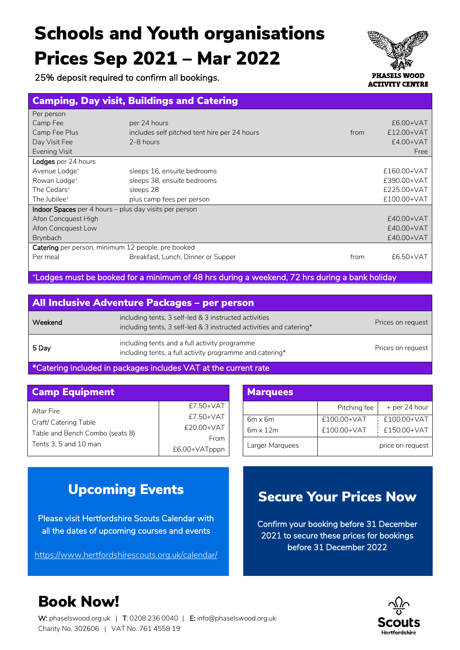# Schools and Youth organisations Prices Sep 2021 – Mar 2022

25% deposit required to confirm all bookings.

#### Camping, Day visit, Buildings and Catering l.

| Per person                                                    |                                              |      |             |  |
|---------------------------------------------------------------|----------------------------------------------|------|-------------|--|
| Camp Fee                                                      | per 24 hours                                 |      | $£6.00+VAT$ |  |
| Camp Fee Plus                                                 | includes self pitched tent hire per 24 hours | from | £12.00+VAT  |  |
| Day Visit Fee                                                 | 2-8 hours                                    |      | $£4.00+VAT$ |  |
| Evening Visit                                                 |                                              |      | Free        |  |
| Lodges per 24 hours                                           |                                              |      |             |  |
| Avenue Lodge <sup>+</sup>                                     | sleeps 16, ensuite bedrooms                  |      | £160.00+VAT |  |
| Rowan Lodge <sup>+</sup>                                      | sleeps 38, ensuite bedrooms                  |      | £390.00+VAT |  |
| The Cedars <sup>+</sup>                                       | sleeps 28                                    |      | £225.00+VAT |  |
| The Jubilee <sup>+</sup>                                      | plus camp fees per person                    |      | £100.00+VAT |  |
| <b>Indoor Spaces</b> per 4 hours – plus day visits per person |                                              |      |             |  |
| Afon Concquest High                                           |                                              |      | £40.00+VAT  |  |
| Afon Concquest Low                                            |                                              |      | £40.00+VAT  |  |
| <b>Brynbach</b>                                               |                                              |      | £40.00+VAT  |  |
| Catering per person, minimum 12 people, pre booked            |                                              |      |             |  |
| Per meal                                                      | Breakfast, Lunch, Dinner or Supper           | from | $£6.50+VAT$ |  |
|                                                               |                                              |      |             |  |

+ Lodges must be booked for a minimum of 48 hrs during a weekend, 72 hrs during a bank holiday

| All Inclusive Adventure Packages - per person |                                                                                                                              |                   |  |
|-----------------------------------------------|------------------------------------------------------------------------------------------------------------------------------|-------------------|--|
| Weekend                                       | including tents, 3 self-led & 3 instructed activities<br>including tents, 3 self-led & 3 instructed activities and catering* | Prices on request |  |
| 5 Day                                         | including tents and a full activity programme<br>including tents, a full activity programme and catering*                    | Prices on request |  |

\*Catering included in packages includes VAT at the current rate

| <b>Camp Equipment</b>                                    | <b>Marquees</b>         |                                   |
|----------------------------------------------------------|-------------------------|-----------------------------------|
| Altar Fire                                               | £7.50+VAT               |                                   |
| Craft/ Catering Table<br>Table and Bench Combo (seats 8) | £7.50+VAT<br>£20.00+VAT | $6m \times 6m$<br>$6m \times 12m$ |
| Tents 3, 5 and 10 man                                    | From<br>£6.00+VATpppn   | Larger Marguee                    |

| <b>Marquees</b> |              |                  |  |  |  |
|-----------------|--------------|------------------|--|--|--|
|                 | Pitching fee | + per 24 hour    |  |  |  |
| $6m \times 6m$  | £100.00+VAT  | £100.00+VAT      |  |  |  |
| $6m \times 12m$ | £100.00+VAT  | £150.00+VAT      |  |  |  |
| Larger Marquees |              | price on request |  |  |  |

### Upcoming Events

Please visit Hertfordshire Scouts Calendar with all the dates of upcoming courses and events

https://www.hertfordshirescouts.org.uk/calendar/

### Secure Your Prices Now

Confirm your booking before 31 December 2021 to secure these prices for bookings before 31 December 2022



## Book Now!

W: phaselswood.org.uk | T: 0208 236 0040 | E: info@phaselswood.org.uk Charity No. 302606 | VAT No. 761 4558 19